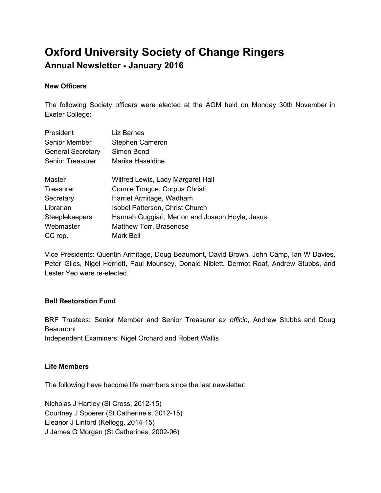# **Oxford University Society of Change Ringers Annual Newsletter January 2016**

## **New Officers**

The following Society officers were elected at the AGM held on Monday 30th November in Exeter College:

| President                | Liz Barnes                                      |  |  |
|--------------------------|-------------------------------------------------|--|--|
| <b>Senior Member</b>     | Stephen Cameron                                 |  |  |
| <b>General Secretary</b> | Simon Bond                                      |  |  |
| <b>Senior Treasurer</b>  | Marika Haseldine                                |  |  |
| Master                   | Wilfred Lewis, Lady Margaret Hall               |  |  |
| Treasurer                | Connie Tongue, Corpus Christi                   |  |  |
| Secretary                | Harriet Armitage, Wadham                        |  |  |
| Librarian                | Isobel Patterson, Christ Church                 |  |  |
| <b>Steeplekeepers</b>    | Hannah Guggiari, Merton and Joseph Hoyle, Jesus |  |  |
| Webmaster                | Matthew Torr, Brasenose                         |  |  |
| CC rep.                  | Mark Bell                                       |  |  |

Vice Presidents: Quentin Armitage, Doug Beaumont, David Brown, John Camp, Ian W Davies, Peter Giles, Nigel Herriott, Paul Mounsey, Donald Niblett, Dermot Roaf, Andrew Stubbs, and Lester Yeo were re-elected.

## **Bell Restoration Fund**

BRF Trustees: Senior Member and Senior Treasurer *ex officio*, Andrew Stubbs and Doug **Beaumont** Independent Examiners: Nigel Orchard and Robert Wallis

## **Life Members**

The following have become life members since the last newsletter:

Nicholas J Hartley (St Cross, 2012-15) Courtney J Spoerer (St Catherine's, 2012-15) Eleanor J Linford (Kellogg, 2014-15) J James G Morgan (St Catherines, 2002-06)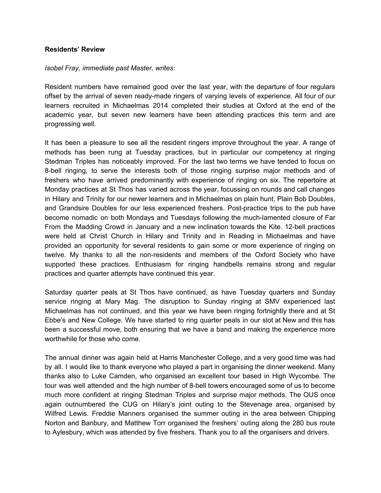## **Residents' Review**

### *Isobel Fray, immediate past Master, writes:*

Resident numbers have remained good over the last year, with the departure of four regulars offset by the arrival of seven ready-made ringers of varying levels of experience. All four of our learners recruited in Michaelmas 2014 completed their studies at Oxford at the end of the academic year, but seven new learners have been attending practices this term and are progressing well.

It has been a pleasure to see all the resident ringers improve throughout the year. A range of methods has been rung at Tuesday practices, but in particular our competency at ringing Stedman Triples has noticeably improved. For the last two terms we have tended to focus on 8-bell ringing, to serve the interests both of those ringing surprise major methods and of freshers who have arrived predominantly with experience of ringing on six. The repertoire at Monday practices at St Thos has varied across the year, focussing on rounds and call changes in Hilary and Trinity for our newer learners and in Michaelmas on plain hunt, Plain Bob Doubles, and Grandsire Doubles for our less experienced freshers. Post-practice trips to the pub have become nomadic on both Mondays and Tuesdays following the muchlamented closure of Far From the Madding Crowd in January and a new inclination towards the Kite. 12-bell practices were held at Christ Church in Hilary and Trinity and in Reading in Michaelmas and have provided an opportunity for several residents to gain some or more experience of ringing on twelve. My thanks to all the non-residents and members of the Oxford Society who have supported these practices. Enthusiasm for ringing handbells remains strong and regular practices and quarter attempts have continued this year.

Saturday quarter peals at St Thos have continued, as have Tuesday quarters and Sunday service ringing at Mary Mag. The disruption to Sunday ringing at SMV experienced last Michaelmas has not continued, and this year we have been ringing fortnightly there and at St Ebbe's and New College. We have started to ring quarter peals in our slot at New and this has been a successful move, both ensuring that we have a band and making the experience more worthwhile for those who come.

The annual dinner was again held at Harris Manchester College, and a very good time was had by all. I would like to thank everyone who played a part in organising the dinner weekend. Many thanks also to Luke Camden, who organised an excellent tour based in High Wycombe. The tour was well attended and the high number of 8-bell towers encouraged some of us to become much more confident at ringing Stedman Triples and surprise major methods. The OUS once again outnumbered the CUG on Hilary's joint outing to the Stevenage area, organised by Wilfred Lewis. Freddie Manners organised the summer outing in the area between Chipping Norton and Banbury, and Matthew Torr organised the freshers' outing along the 280 bus route to Aylesbury, which was attended by five freshers. Thank you to all the organisers and drivers.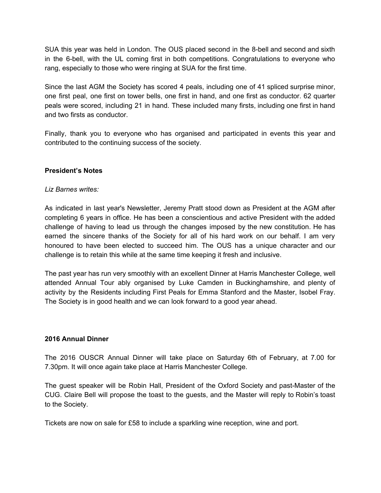SUA this year was held in London. The OUS placed second in the 8-bell and second and sixth in the 6-bell, with the UL coming first in both competitions. Congratulations to everyone who rang, especially to those who were ringing at SUA for the first time.

Since the last AGM the Society has scored 4 peals, including one of 41 spliced surprise minor, one first peal, one first on tower bells, one first in hand, and one first as conductor. 62 quarter peals were scored, including 21 in hand. These included many firsts, including one first in hand and two firsts as conductor.

Finally, thank you to everyone who has organised and participated in events this year and contributed to the continuing success of the society.

## **President's Notes**

#### *Liz Barnes writes:*

As indicated in last year's Newsletter, Jeremy Pratt stood down as President at the AGM after completing 6 years in office. He has been a conscientious and active President with the added challenge of having to lead us through the changes imposed by the new constitution. He has earned the sincere thanks of the Society for all of his hard work on our behalf. I am very honoured to have been elected to succeed him. The OUS has a unique character and our challenge is to retain this while at the same time keeping it fresh and inclusive.

The past year has run very smoothly with an excellent Dinner at Harris Manchester College, well attended Annual Tour ably organised by Luke Camden in Buckinghamshire, and plenty of activity by the Residents including First Peals for Emma Stanford and the Master, Isobel Fray. The Society is in good health and we can look forward to a good year ahead.

#### **2016 Annual Dinner**

The 2016 OUSCR Annual Dinner will take place on Saturday 6th of February, at 7.00 for 7.30pm. It will once again take place at Harris Manchester College.

The guest speaker will be Robin Hall, President of the Oxford Society and past-Master of the CUG. Claire Bell will propose the toast to the guests, and the Master will reply to Robin's toast to the Society.

Tickets are now on sale for £58 to include a sparkling wine reception, wine and port.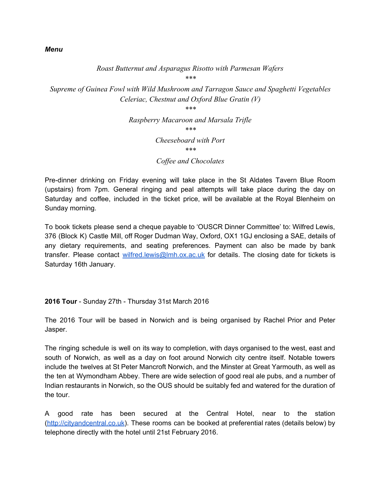## *Roast Butternut and Asparagus Risotto with Parmesan Wafers*

*\*\*\**

*Supreme of Guinea Fowl with Wild Mushroom and Tarragon Sauce and Spaghetti Vegetables Celeriac, Chestnut and Oxford Blue Gratin (V)*

*\*\*\**

*Raspberry Macaroon and Marsala Trifle \*\*\* Cheeseboard with Port \*\*\**

*Cof ee and Chocolates*

Pre-dinner drinking on Friday evening will take place in the St Aldates Tavern Blue Room (upstairs) from 7pm. General ringing and peal attempts will take place during the day on Saturday and coffee, included in the ticket price, will be available at the Royal Blenheim on Sunday morning.

To book tickets please send a cheque payable to 'OUSCR Dinner Committee' to: Wilfred Lewis, 376 (Block K) Castle Mill, off Roger Dudman Way, Oxford, OX1 1GJ enclosing a SAE, details of any dietary requirements, and seating preferences. Payment can also be made by bank transfer. Please contact [wilfred.lewis@lmh.ox.ac.uk](mailto:wilfred.lewis@lmh.ox.ac.uk) for details. The closing date for tickets is Saturday 16th January.

## **2016 Tour** Sunday 27th Thursday 31st March 2016

The 2016 Tour will be based in Norwich and is being organised by Rachel Prior and Peter Jasper.

The ringing schedule is well on its way to completion, with days organised to the west, east and south of Norwich, as well as a day on foot around Norwich city centre itself. Notable towers include the twelves at St Peter Mancroft Norwich, and the Minster at Great Yarmouth, as well as the ten at Wymondham Abbey. There are wide selection of good real ale pubs, and a number of Indian restaurants in Norwich, so the OUS should be suitably fed and watered for the duration of the tour.

A good rate has been secured at the Central Hotel, near to the station [\(http://cityandcentral.co.uk\)](http://cityandcentral.co.uk/). These rooms can be booked at preferential rates (details below) by telephone directly with the hotel until 21st February 2016.

### *Menu*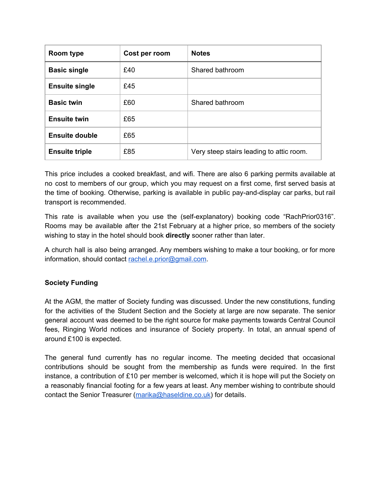| Room type             | Cost per room | <b>Notes</b>                             |
|-----------------------|---------------|------------------------------------------|
| <b>Basic single</b>   | £40           | Shared bathroom                          |
| <b>Ensuite single</b> | £45           |                                          |
| <b>Basic twin</b>     | £60           | Shared bathroom                          |
| <b>Ensuite twin</b>   | £65           |                                          |
| <b>Ensuite double</b> | £65           |                                          |
| <b>Ensuite triple</b> | £85           | Very steep stairs leading to attic room. |

This price includes a cooked breakfast, and wifi. There are also 6 parking permits available at no cost to members of our group, which you may request on a first come, first served basis at the time of booking. Otherwise, parking is available in public pay-and-display car parks, but rail transport is recommended.

This rate is available when you use the (selfexplanatory) booking code "RachPrior0316". Rooms may be available after the 21st February at a higher price, so members of the society wishing to stay in the hotel should book **directly**sooner rather than later.

A church hall is also being arranged. Any members wishing to make a tour booking, or for more information, should contact [rachel.e.prior@gmail.com.](mailto:rachel.e.prior@gmail.com)

## **Society Funding**

At the AGM, the matter of Society funding was discussed. Under the new constitutions, funding for the activities of the Student Section and the Society at large are now separate. The senior general account was deemed to be the right source for make payments towards Central Council fees, Ringing World notices and insurance of Society property. In total, an annual spend of around £100 is expected.

The general fund currently has no regular income. The meeting decided that occasional contributions should be sought from the membership as funds were required. In the first instance, a contribution of £10 per member is welcomed, which it is hope will put the Society on a reasonably financial footing for a few years at least. Any member wishing to contribute should contact the Senior Treasurer [\(marika@haseldine.co.uk\)](mailto:marika@haseldine.co.uk) for details.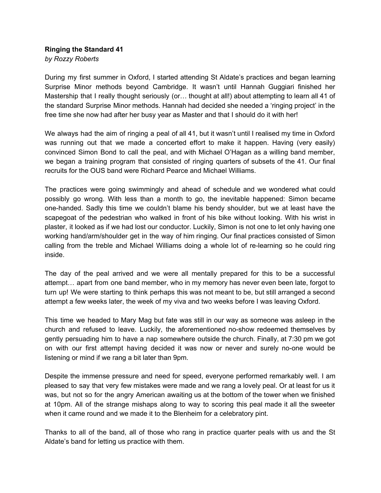## **Ringing the Standard 41** *by Rozzy Roberts*

During my first summer in Oxford, I started attending St Aldate's practices and began learning Surprise Minor methods beyond Cambridge. It wasn't until Hannah Guggiari finished her Mastership that I really thought seriously (or... thought at all!) about attempting to learn all 41 of the standard Surprise Minor methods. Hannah had decided she needed a 'ringing project' in the free time she now had after her busy year as Master and that I should do it with her!

We always had the aim of ringing a peal of all 41, but it wasn't until I realised my time in Oxford was running out that we made a concerted effort to make it happen. Having (very easily) convinced Simon Bond to call the peal, and with Michael O'Hagan as a willing band member, we began a training program that consisted of ringing quarters of subsets of the 41. Our final recruits for the OUS band were Richard Pearce and Michael Williams.

The practices were going swimmingly and ahead of schedule and we wondered what could possibly go wrong. With less than a month to go, the inevitable happened: Simon became onehanded. Sadly this time we couldn't blame his bendy shoulder, but we at least have the scapegoat of the pedestrian who walked in front of his bike without looking. With his wrist in plaster, it looked as if we had lost our conductor. Luckily, Simon is not one to let only having one working hand/arm/shoulder get in the way of him ringing. Our final practices consisted of Simon calling from the treble and Michael Williams doing a whole lot of relearning so he could ring inside.

The day of the peal arrived and we were all mentally prepared for this to be a successful attempt… apart from one band member, who in my memory has never even been late, forgot to turn up! We were starting to think perhaps this was not meant to be, but still arranged a second attempt a few weeks later, the week of my viva and two weeks before I was leaving Oxford.

This time we headed to Mary Mag but fate was still in our way as someone was asleep in the church and refused to leave. Luckily, the aforementioned noshow redeemed themselves by gently persuading him to have a nap somewhere outside the church. Finally, at 7:30 pm we got on with our first attempt having decided it was now or never and surely no-one would be listening or mind if we rang a bit later than 9pm.

Despite the immense pressure and need for speed, everyone performed remarkably well. I am pleased to say that very few mistakes were made and we rang a lovely peal. Or at least for us it was, but not so for the angry American awaiting us at the bottom of the tower when we finished at 10pm. All of the strange mishaps along to way to scoring this peal made it all the sweeter when it came round and we made it to the Blenheim for a celebratory pint.

Thanks to all of the band, all of those who rang in practice quarter peals with us and the St Aldate's band for letting us practice with them.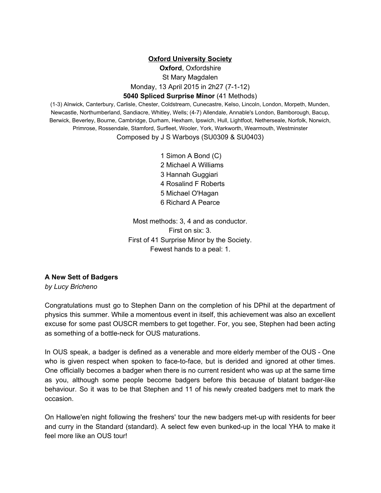## **Oxford University Society**

**Oxford**, Oxfordshire St Mary Magdalen Monday, 13 April 2015 in 2h27 (7-1-12)

## **5040 Spliced Surprise Minor**(41 Methods)

(13) Alnwick, Canterbury, Carlisle, Chester, Coldstream, Cunecastre, Kelso, Lincoln, London, Morpeth, Munden, Newcastle, Northumberland, Sandiacre, Whitley, Wells; (47) Allendale, Annable's London, Bamborough, Bacup, Berwick, Beverley, Bourne, Cambridge, Durham, Hexham, Ipswich, Hull, Lightfoot, Netherseale, Norfolk, Norwich, Primrose, Rossendale, Stamford, Surfleet, Wooler, York, Warkworth, Wearmouth, Westminster Composed by J S Warboys (SU0309 & SU0403)

> Simon A Bond (C) Michael A Williams Hannah Guggiari Rosalind F Roberts Michael O'Hagan Richard A Pearce

Most methods: 3, 4 and as conductor. First on six: 3. First of 41 Surprise Minor by the Society. Fewest hands to a peal: 1.

### **A New Sett of Badgers**

*by Lucy Bricheno*

Congratulations must go to Stephen Dann on the completion of his DPhil at the department of physics this summer. While a momentous event in itself, this achievement was also an excellent excuse for some past OUSCR members to get together. For, you see, Stephen had been acting as something of a bottle-neck for OUS maturations.

In OUS speak, a badger is defined as a venerable and more elderly member of the OUS - One who is given respect when spoken to face-to-face, but is derided and ignored at other times. One officially becomes a badger when there is no current resident who was up at the same time as you, although some people become badgers before this because of blatant badger-like behaviour. So it was to be that Stephen and 11 of his newly created badgers met to mark the occasion.

On Hallowe'en night following the freshers' tour the new badgers met-up with residents for beer and curry in the Standard (standard). A select few even bunked-up in the local YHA to make it feel more like an OUS tour!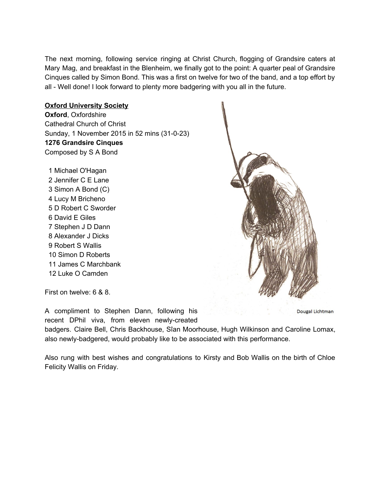The next morning, following service ringing at Christ Church, flogging of Grandsire caters at Mary Mag, and breakfast in the Blenheim, we finally got to the point: A quarter peal of Grandsire Cinques called by Simon Bond. This was a first on twelve for two of the band, and a top effort by all - Well done! I look forward to plenty more badgering with you all in the future.

## **Oxford University Society**

**Oxford**, Oxfordshire Cathedral Church of Christ Sunday, 1 November 2015 in 52 mins (31-0-23) **1276 Grandsire Cinques** Composed by S A Bond

 Michael O'Hagan Jennifer C E Lane Simon A Bond (C) Lucy M Bricheno D Robert C Sworder David E Giles Stephen J D Dann Alexander J Dicks Robert S Wallis Simon D Roberts James C Marchbank Luke O Camden



First on twelve: 6 & 8.

A compliment to Stephen Dann, following his recent DPhil viva, from eleven newly-created

Dougal Lichtman

badgers. Claire Bell, Chris Backhouse, Sîan Moorhouse, Hugh Wilkinson and Caroline Lomax, also newly-badgered, would probably like to be associated with this performance.

Also rung with best wishes and congratulations to Kirsty and Bob Wallis on the birth of Chloe Felicity Wallis on Friday.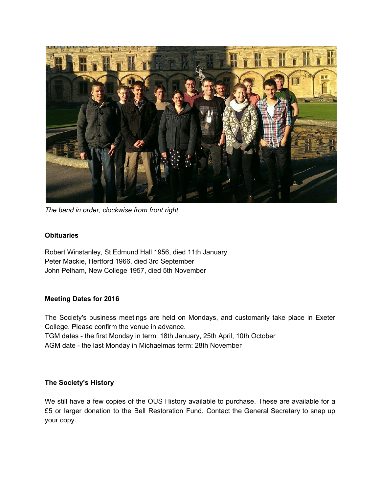

*The band in order, clockwise from front right*

## **Obituaries**

Robert Winstanley, St Edmund Hall 1956, died 11th January Peter Mackie, Hertford 1966, died 3rd September John Pelham, New College 1957, died 5th November

## **Meeting Dates for 2016**

The Society's business meetings are held on Mondays, and customarily take place in Exeter College. Please confirm the venue in advance. TGM dates - the first Monday in term: 18th January, 25th April, 10th October AGM date - the last Monday in Michaelmas term: 28th November

## **The Society's History**

We still have a few copies of the OUS History available to purchase. These are available for a £5 or larger donation to the Bell Restoration Fund. Contact the General Secretary to snap up your copy.